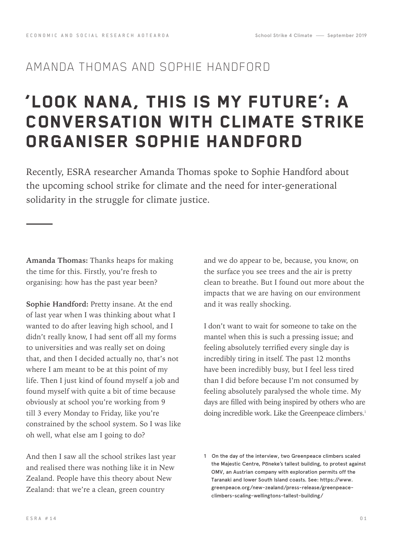## AMANDA THOMAS AND SOPHIE HANDFORD

## 'LOOK NANA, THIS IS MY FUTURE': A CONVERSATION WITH CLIMATE STRIKE ORGANISER SOPHIE HANDFORD

Recently, ESRA researcher Amanda Thomas spoke to Sophie Handford about the upcoming school strike for climate and the need for inter-generational solidarity in the struggle for climate justice.

**Amanda Thomas:** Thanks heaps for making the time for this. Firstly, you're fresh to organising: how has the past year been?

**Sophie Handford:** Pretty insane. At the end of last year when I was thinking about what I wanted to do after leaving high school, and I didn't really know, I had sent off all my forms to universities and was really set on doing that, and then I decided actually no, that's not where I am meant to be at this point of my life. Then I just kind of found myself a job and found myself with quite a bit of time because obviously at school you're working from 9 till 3 every Monday to Friday, like you're constrained by the school system. So I was like oh well, what else am I going to do?

And then I saw all the school strikes last year and realised there was nothing like it in New Zealand. People have this theory about New Zealand: that we're a clean, green country

and we do appear to be, because, you know, on the surface you see trees and the air is pretty clean to breathe. But I found out more about the impacts that we are having on our environment and it was really shocking.

I don't want to wait for someone to take on the mantel when this is such a pressing issue; and feeling absolutely terrified every single day is incredibly tiring in itself. The past 12 months have been incredibly busy, but I feel less tired than I did before because I'm not consumed by feeling absolutely paralysed the whole time. My days are filled with being inspired by others who are doing incredible work. Like the Greenpeace climbers.<sup>1</sup>

<sup>1</sup> On the day of the interview, two Greenpeace climbers scaled the Majestic Centre, Poneke's tallest building, to protest against OMV, an Austrian company with exploration permits off the Taranaki and lower South Island coasts. See: https://www. greenpeace.org/new-zealand/press-release/greenpeaceclimbers-scaling-wellingtons-tallest-building/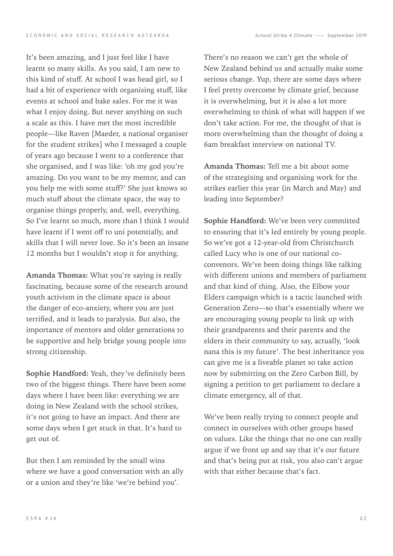It's been amazing, and I just feel like I have learnt so many skills. As you said, I am new to this kind of stuff. At school I was head girl, so I had a bit of experience with organising stuff, like events at school and bake sales. For me it was what I enjoy doing. But never anything on such a scale as this. I have met the most incredible people—like Raven [Maeder, a national organiser for the student strikes] who I messaged a couple of years ago because I went to a conference that she organised, and I was like: 'oh my god you're amazing. Do you want to be my mentor, and can you help me with some stuff?' She just knows so much stuff about the climate space, the way to organise things properly, and, well, everything. So I've learnt so much, more than I think I would have learnt if I went off to uni potentially, and skills that I will never lose. So it's been an insane 12 months but I wouldn't stop it for anything.

**Amanda Thomas:** What you're saying is really fascinating, because some of the research around youth activism in the climate space is about the danger of eco-anxiety, where you are just terrified, and it leads to paralysis. But also, the importance of mentors and older generations to be supportive and help bridge young people into strong citizenship.

**Sophie Handford:** Yeah, they've definitely been two of the biggest things. There have been some days where I have been like: everything we are doing in New Zealand with the school strikes, it's not going to have an impact. And there are some days when I get stuck in that. It's hard to get out of.

But then I am reminded by the small wins where we have a good conversation with an ally or a union and they're like 'we're behind you'.

There's no reason we can't get the whole of New Zealand behind us and actually make some serious change. Yup, there are some days where I feel pretty overcome by climate grief, because it is overwhelming, but it is also a lot more overwhelming to think of what will happen if we don't take action. For me, the thought of that is more overwhelming than the thought of doing a 6am breakfast interview on national TV.

**Amanda Thomas:** Tell me a bit about some of the strategising and organising work for the strikes earlier this year (in March and May) and leading into September?

**Sophie Handford:** We've been very committed to ensuring that it's led entirely by young people. So we've got a 12-year-old from Christchurch called Lucy who is one of our national coconvenors. We've been doing things like talking with different unions and members of parliament and that kind of thing. Also, the Elbow your Elders campaign which is a tactic launched with Generation Zero—so that's essentially where we are encouraging young people to link up with their grandparents and their parents and the elders in their community to say, actually, 'look nana this is my future'. The best inheritance you can give me is a liveable planet so take action now by submitting on the Zero Carbon Bill, by signing a petition to get parliament to declare a climate emergency, all of that.

We've been really trying to connect people and connect in ourselves with other groups based on values. Like the things that no one can really argue if we front up and say that it's our future and that's being put at risk, you also can't argue with that either because that's fact.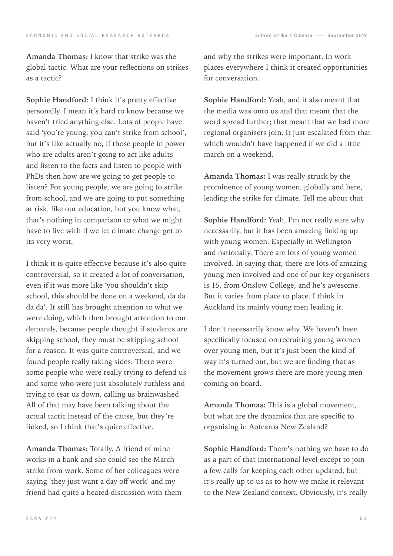**Amanda Thomas:** I know that strike was the global tactic. What are your reflections on strikes as a tactic?

**Sophie Handford:** I think it's pretty effective personally. I mean it's hard to know because we haven't tried anything else. Lots of people have said 'you're young, you can't strike from school', but it's like actually no, if those people in power who are adults aren't going to act like adults and listen to the facts and listen to people with PhDs then how are we going to get people to listen? For young people, we are going to strike from school, and we are going to put something at risk, like our education, but you know what, that's nothing in comparison to what we might have to live with if we let climate change get to its very worst.

I think it is quite effective because it's also quite controversial, so it created a lot of conversation, even if it was more like 'you shouldn't skip school, this should be done on a weekend, da da da da'. It still has brought attention to what we were doing, which then brought attention to our demands, because people thought if students are skipping school, they must be skipping school for a reason. It was quite controversial, and we found people really taking sides. There were some people who were really trying to defend us and some who were just absolutely ruthless and trying to tear us down, calling us brainwashed. All of that may have been talking about the actual tactic instead of the cause, but they're linked, so I think that's quite effective.

**Amanda Thomas:** Totally. A friend of mine works in a bank and she could see the March strike from work. Some of her colleagues were saying 'they just want a day off work' and my friend had quite a heated discussion with them and why the strikes were important. In work places everywhere I think it created opportunities for conversation.

**Sophie Handford:** Yeah, and it also meant that the media was onto us and that meant that the word spread further; that meant that we had more regional organisers join. It just escalated from that which wouldn't have happened if we did a little march on a weekend.

**Amanda Thomas:** I was really struck by the prominence of young women, globally and here, leading the strike for climate. Tell me about that.

**Sophie Handford:** Yeah, I'm not really sure why necessarily, but it has been amazing linking up with young women. Especially in Wellington and nationally. There are lots of young women involved. In saying that, there are lots of amazing young men involved and one of our key organisers is 15, from Onslow College, and he's awesome. But it varies from place to place. I think in Auckland its mainly young men leading it.

I don't necessarily know why. We haven't been specifically focused on recruiting young women over young men, but it's just been the kind of way it's turned out, but we are finding that as the movement grows there are more young men coming on board.

**Amanda Thomas:** This is a global movement, but what are the dynamics that are specific to organising in Aotearoa New Zealand?

**Sophie Handford:** There's nothing we have to do as a part of that international level except to join a few calls for keeping each other updated, but it's really up to us as to how we make it relevant to the New Zealand context. Obviously, it's really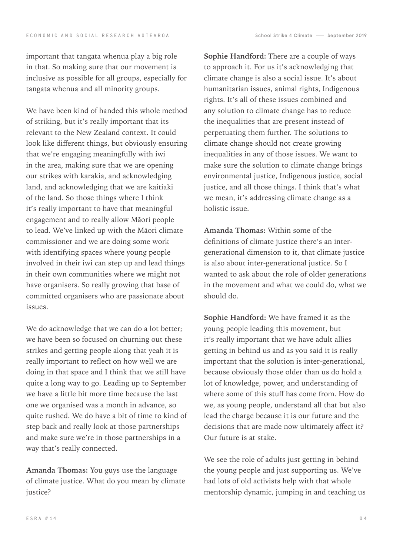important that tangata whenua play a big role in that. So making sure that our movement is inclusive as possible for all groups, especially for tangata whenua and all minority groups.

We have been kind of handed this whole method of striking, but it's really important that its relevant to the New Zealand context. It could look like different things, but obviously ensuring that we're engaging meaningfully with iwi in the area, making sure that we are opening our strikes with karakia, and acknowledging land, and acknowledging that we are kaitiaki of the land. So those things where I think it's really important to have that meaningful engagement and to really allow Māori people to lead. We've linked up with the Māori climate commissioner and we are doing some work with identifying spaces where young people involved in their iwi can step up and lead things in their own communities where we might not have organisers. So really growing that base of committed organisers who are passionate about issues.

We do acknowledge that we can do a lot better; we have been so focused on churning out these strikes and getting people along that yeah it is really important to reflect on how well we are doing in that space and I think that we still have quite a long way to go. Leading up to September we have a little bit more time because the last one we organised was a month in advance, so quite rushed. We do have a bit of time to kind of step back and really look at those partnerships and make sure we're in those partnerships in a way that's really connected.

**Amanda Thomas:** You guys use the language of climate justice. What do you mean by climate justice?

**Sophie Handford:** There are a couple of ways to approach it. For us it's acknowledging that climate change is also a social issue. It's about humanitarian issues, animal rights, Indigenous rights. It's all of these issues combined and any solution to climate change has to reduce the inequalities that are present instead of perpetuating them further. The solutions to climate change should not create growing inequalities in any of those issues. We want to make sure the solution to climate change brings environmental justice, Indigenous justice, social justice, and all those things. I think that's what we mean, it's addressing climate change as a holistic issue.

**Amanda Thomas:** Within some of the definitions of climate justice there's an intergenerational dimension to it, that climate justice is also about inter-generational justice. So I wanted to ask about the role of older generations in the movement and what we could do, what we should do.

**Sophie Handford:** We have framed it as the young people leading this movement, but it's really important that we have adult allies getting in behind us and as you said it is really important that the solution is inter-generational, because obviously those older than us do hold a lot of knowledge, power, and understanding of where some of this stuff has come from. How do we, as young people, understand all that but also lead the charge because it is our future and the decisions that are made now ultimately affect it? Our future is at stake.

We see the role of adults just getting in behind the young people and just supporting us. We've had lots of old activists help with that whole mentorship dynamic, jumping in and teaching us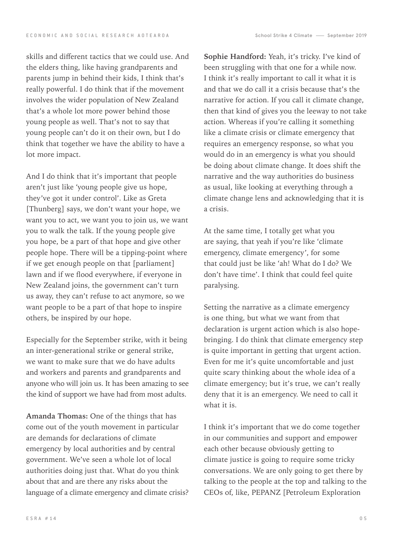skills and different tactics that we could use. And the elders thing, like having grandparents and parents jump in behind their kids, I think that's really powerful. I do think that if the movement involves the wider population of New Zealand that's a whole lot more power behind those young people as well. That's not to say that young people can't do it on their own, but I do think that together we have the ability to have a lot more impact.

And I do think that it's important that people aren't just like 'young people give us hope, they've got it under control'. Like as Greta [Thunberg] says, we don't want your hope, we want you to act, we want you to join us, we want you to walk the talk. If the young people give you hope, be a part of that hope and give other people hope. There will be a tipping-point where if we get enough people on that [parliament] lawn and if we flood everywhere, if everyone in New Zealand joins, the government can't turn us away, they can't refuse to act anymore, so we want people to be a part of that hope to inspire others, be inspired by our hope.

Especially for the September strike, with it being an inter-generational strike or general strike, we want to make sure that we do have adults and workers and parents and grandparents and anyone who will join us. It has been amazing to see the kind of support we have had from most adults.

**Amanda Thomas:** One of the things that has come out of the youth movement in particular are demands for declarations of climate emergency by local authorities and by central government. We've seen a whole lot of local authorities doing just that. What do you think about that and are there any risks about the language of a climate emergency and climate crisis?

**Sophie Handford:** Yeah, it's tricky. I've kind of been struggling with that one for a while now. I think it's really important to call it what it is and that we do call it a crisis because that's the narrative for action. If you call it climate change, then that kind of gives you the leeway to not take action. Whereas if you're calling it something like a climate crisis or climate emergency that requires an emergency response, so what you would do in an emergency is what you should be doing about climate change. It does shift the narrative and the way authorities do business as usual, like looking at everything through a climate change lens and acknowledging that it is a crisis.

At the same time, I totally get what you are saying, that yeah if you're like 'climate emergency, climate emergency', for some that could just be like 'ah! What do I do? We don't have time'. I think that could feel quite paralysing.

Setting the narrative as a climate emergency is one thing, but what we want from that declaration is urgent action which is also hopebringing. I do think that climate emergency step is quite important in getting that urgent action. Even for me it's quite uncomfortable and just quite scary thinking about the whole idea of a climate emergency; but it's true, we can't really deny that it is an emergency. We need to call it what it is.

I think it's important that we do come together in our communities and support and empower each other because obviously getting to climate justice is going to require some tricky conversations. We are only going to get there by talking to the people at the top and talking to the CEOs of, like, PEPANZ [Petroleum Exploration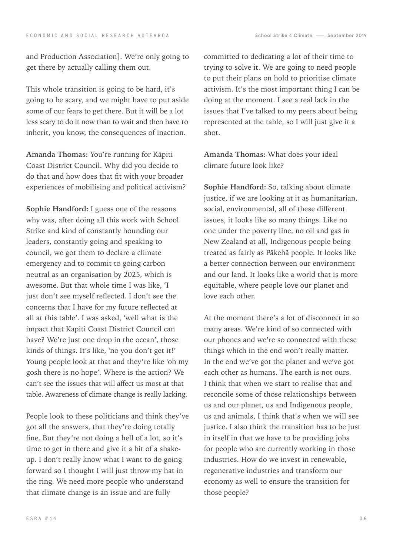and Production Association]. We're only going to get there by actually calling them out.

This whole transition is going to be hard, it's going to be scary, and we might have to put aside some of our fears to get there. But it will be a lot less scary to do it now than to wait and then have to inherit, you know, the consequences of inaction.

**Amanda Thomas:** You're running for Kāpiti Coast District Council. Why did you decide to do that and how does that fit with your broader experiences of mobilising and political activism?

**Sophie Handford:** I guess one of the reasons why was, after doing all this work with School Strike and kind of constantly hounding our leaders, constantly going and speaking to council, we got them to declare a climate emergency and to commit to going carbon neutral as an organisation by 2025, which is awesome. But that whole time I was like, 'I just don't see myself reflected. I don't see the concerns that I have for my future reflected at all at this table'. I was asked, 'well what is the impact that Kapiti Coast District Council can have? We're just one drop in the ocean', those kinds of things. It's like, 'no you don't get it!' Young people look at that and they're like 'oh my gosh there is no hope'. Where is the action? We can't see the issues that will affect us most at that table. Awareness of climate change is really lacking.

People look to these politicians and think they've got all the answers, that they're doing totally fine. But they're not doing a hell of a lot, so it's time to get in there and give it a bit of a shakeup. I don't really know what I want to do going forward so I thought I will just throw my hat in the ring. We need more people who understand that climate change is an issue and are fully

committed to dedicating a lot of their time to trying to solve it. We are going to need people to put their plans on hold to prioritise climate activism. It's the most important thing I can be doing at the moment. I see a real lack in the issues that I've talked to my peers about being represented at the table, so I will just give it a shot.

**Amanda Thomas:** What does your ideal climate future look like?

**Sophie Handford:** So, talking about climate justice, if we are looking at it as humanitarian, social, environmental, all of these different issues, it looks like so many things. Like no one under the poverty line, no oil and gas in New Zealand at all, Indigenous people being treated as fairly as Pākehā people. It looks like a better connection between our environment and our land. It looks like a world that is more equitable, where people love our planet and love each other.

At the moment there's a lot of disconnect in so many areas. We're kind of so connected with our phones and we're so connected with these things which in the end won't really matter. In the end we've got the planet and we've got each other as humans. The earth is not ours. I think that when we start to realise that and reconcile some of those relationships between us and our planet, us and Indigenous people, us and animals, I think that's when we will see justice. I also think the transition has to be just in itself in that we have to be providing jobs for people who are currently working in those industries. How do we invest in renewable, regenerative industries and transform our economy as well to ensure the transition for those people?